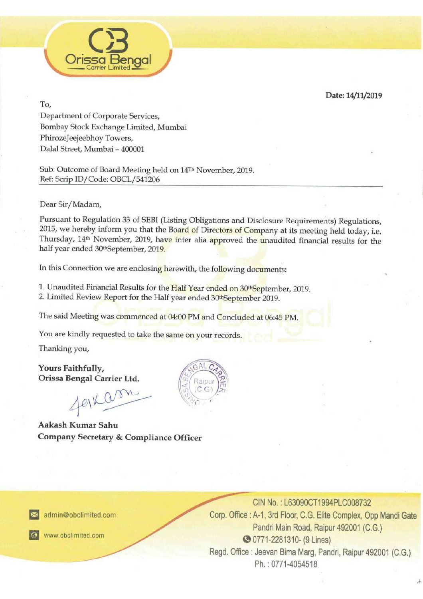Date: 14/11/2019



To,

Department of Corporate Services, Bombay Stock Exchange Limited, Mumbai PhirozeJeejeebhoy Towers, Dalal Street, Mumbai - 400001

Sub: Outcome of Board Meeting held on 14™ November, 2019. Ref: Scrip ID/Code: OBCL/541206

Dear Sir/Madam,

Pursuant to Regulation 33 of SEBI (Listing Obligations and Disclosure Requirements) Regulations, 2015, we hereby inform you that the Board of Directors of Company at its meeting held today, i.e. Thursday, 14<sup>th</sup> November,

In this Connection we are enclosing herewith, the following documents:

1. Unaudited Financial Results for the Half Year ended on 30<sup>th</sup>September, 2019.<br>2. Limited Review Report for the Half year ended 30th September 2019.

The said Meeting was commenced at 04:00 PM and Concluded at 06:45 PM.

You are kindly requested to take the same on your records.

Thanking you,

Yours Faithfully, Orissa Bengal Carrier Ltd.

Aakash Kumar Sahu Company Secretary & Compliance Officer rou are kindly requently requested.<br>Thanking you,<br>**Yours Faithfully,<br>Orissa Bengal Canadash Kumar Sandware**<br>**Aakash Kumar Sandware Schools** 



 $\approx$  admin@obc



CIN No.: L63090CT1994PLC008732 Corp. Office: A-1, 3rd Floor, C.G. Elite Complex, Opp Mandi Gate Pandri Main Road, Raipur 492001 (C.G.) @ 0771-2281310- (9 Lines) Regd. Office : Jeevan Bima Marg, Pandri, Raipur 492001 (C.G.) Ph, : 0771-4054518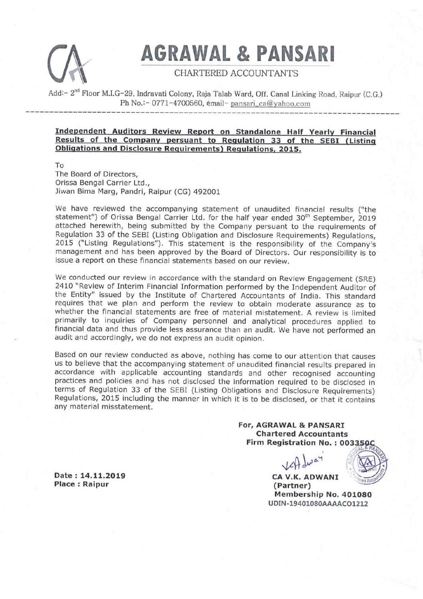

# AGRAWAL & PANSARI

### CHARTERED ACCOUNTANTS

Add:- 2<sup>nd</sup> Floor M.I.G-29, Indravati Colony, Raja Talab Ward, Off. Canal Linking Road, Raipur (C.G.) Ph No.:- 0771-4700560, email- pansari\_ca@yahoo.com

#### Independent Auditors Review Report on Standalone Half Yearly Financial Results of the Company persuant to Regulation 33 of the SEBI (Listing Obligations and Disclosure Requirements) Requlations, 2015.

To

The Board of Directors, Orissa Bengal Carrier Ltd., Jiwan Bima Marg, Pandri, Raipur (CG) 492001

We have reviewed the accompanying statement of unaudited financial results ("the statement") of Orissa Bengal Carrier Ltd. for the half year ended 30<sup>th</sup> September, 2019 attached herewith, being submitted by the Company persuant to the requirements of Regulation 33 of the SEBI (Listing Obligation and Disclosure Requirements) Regulations, 2015 ("Listing Regulations"). This statement is the issue a report on these financial statements based on our review.

net consider the Entity of Interim Financial Information<br>2410 "Review of Interim Financial Information<br>the Entity" issued by the Institute of Chareguires that we plan and perform the rere optimarily to inquiries of Company We conducted our review in accordance with the standard on Review Engagement (SRE)<br>2410 "Review of Interim Financial Information performed by the Independent Auditor of<br>the Entity" issued by the Institute of Chartered Acco audit and accordingly, we do not express an audit opinion.

Based on our review conducted as above, nothing has come to our attention that causes<br>us to believe that the accompanying statement of unaudited financial results prepared in<br>accordance with applicable accounting standards

For, AGRAWAL & PANSARI Chartered Accountants Firm Registration No. : 0033504

 $\Omega$   $\omega$ ay



Membership No. 401080 UDIN-19401080AAAACO1212

Date : 14.11.2019 CA V.K. ADWANI Place : Raipur (Partner)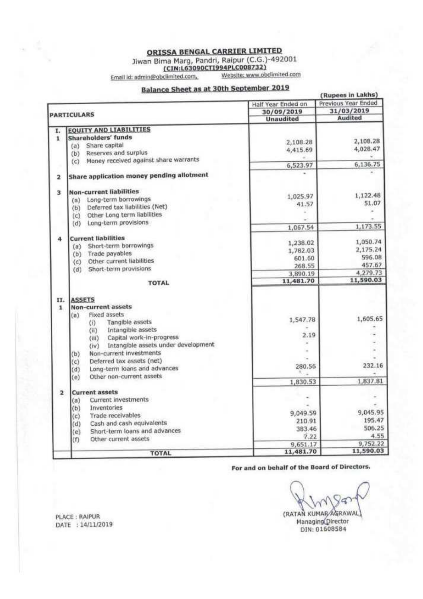**ORISSA BENGAL CARRIER LIMITED** 

Jiwan Bima Marg, Pandri, Raipur (C.G.)-492001<br>(CIN:L63090CTI994PLC008732)

Email id: admin@obclimited.com,

Website: www.obclimited.com

 $\sim$   $\sim$   $\sim$   $\sim$   $\sim$   $\sim$ 

## **Balance Sheet as at 30th September 2019**

| (Rupees in Lakns)  |                                                 |                                |                                   |  |  |  |
|--------------------|-------------------------------------------------|--------------------------------|-----------------------------------|--|--|--|
| <b>PARTICULARS</b> |                                                 | Half Year Ended on             | Previous Year Ended<br>31/03/2019 |  |  |  |
|                    |                                                 | 30/09/2019<br><b>Unaudited</b> | Audited                           |  |  |  |
|                    |                                                 |                                |                                   |  |  |  |
| I.                 | <b>EQUITY AND LIABILITIES</b>                   |                                |                                   |  |  |  |
| 1                  | <b>Shareholders' funds</b>                      |                                | 2,108.28                          |  |  |  |
|                    | Share capital<br>(a)                            | 2,108.28                       |                                   |  |  |  |
|                    | Reserves and surplus<br>(b)                     | 4,415.69                       | 4,028.47                          |  |  |  |
|                    | Money received against share warrants<br>(c)    |                                |                                   |  |  |  |
|                    |                                                 | 6,523.97                       | 6,136.75                          |  |  |  |
| 2                  | Share application money pending allotment       |                                |                                   |  |  |  |
| Ż.                 | <b>Non-current liabilities</b>                  |                                | 1,122.48                          |  |  |  |
|                    | Long-term borrowings<br>(a)                     | 1,025.97                       | 51.07                             |  |  |  |
|                    | Deferred tax liabilities (Net)<br>(b)           | 41.57                          |                                   |  |  |  |
|                    | Other Long term liabilities<br>(c)              |                                |                                   |  |  |  |
|                    | Long-term provisions<br>(d)                     |                                | 1,173.55                          |  |  |  |
|                    |                                                 | 1,067.54                       |                                   |  |  |  |
| 4                  | <b>Current liabilities</b>                      |                                | 1,050.74                          |  |  |  |
|                    | Short-term borrowings<br>(a)                    | 1,238.02                       | 2,175.24                          |  |  |  |
|                    | Trade payables<br>(b)                           | 1,782.03                       | 596.08                            |  |  |  |
|                    | Other current liabilities<br>$\left( c \right)$ | 601.60                         |                                   |  |  |  |
|                    | Short-term provisions<br>(d)                    | 268.55                         | 457.67                            |  |  |  |
|                    | <b>TOTAL</b>                                    | 3,890.19<br>11,481.70          | 4,279.73<br>11,590.03             |  |  |  |
|                    |                                                 |                                |                                   |  |  |  |
| II.                | <b>ASSETS</b>                                   |                                |                                   |  |  |  |
| $\mathbf{1}$       | <b>Non-current assets</b>                       |                                |                                   |  |  |  |
|                    | Fixed assets<br>(a)                             | 1,547.78                       | 1,605.65                          |  |  |  |
|                    | Tangible assets<br>$\langle i \rangle$          |                                |                                   |  |  |  |
|                    | Intangible assets<br>(ii)                       | 2.19                           |                                   |  |  |  |
|                    | Capital work-in-progress<br>(iii)               |                                |                                   |  |  |  |
|                    | Intangible assets under development<br>(iv)     |                                |                                   |  |  |  |
|                    | Non-current investments<br>(b)                  |                                |                                   |  |  |  |
|                    | Deferred tax assets (net)<br>(c)                | 280.56                         | 232.16                            |  |  |  |
|                    | Long-term loans and advances<br>(d)             |                                |                                   |  |  |  |
|                    | Other non-current assets<br>(e)                 | 1,830.53                       | 1,837.81                          |  |  |  |
|                    |                                                 |                                |                                   |  |  |  |
| $\overline{2}$     | <b>Current assets</b>                           |                                |                                   |  |  |  |
|                    | Current investments<br>(a)                      |                                |                                   |  |  |  |
|                    | Inventories<br>(b)                              | 9,049.59                       | 9,045.95                          |  |  |  |
|                    | Trade receivables<br>(c)                        | 210.91                         | 195.47                            |  |  |  |
|                    | Cash and cash equivalents<br>(d)                | 383.46                         | 506.25                            |  |  |  |
|                    | Short-term loans and advances<br>(e)            | 7.22                           | 4.55                              |  |  |  |
|                    | Other current assets<br>(f)                     | 9,651.17                       | 9,752.22                          |  |  |  |
|                    |                                                 | 11,481.70                      | 11,590.03                         |  |  |  |
|                    | <b>TOTAL</b>                                    |                                |                                   |  |  |  |

For and on behalf of the Board of Directors.

(RATAN KUMAR AGRAWAL)

Managing Director<br>DIN: 01608584

PLACE: RAIPUR DATE : 14/11/2019